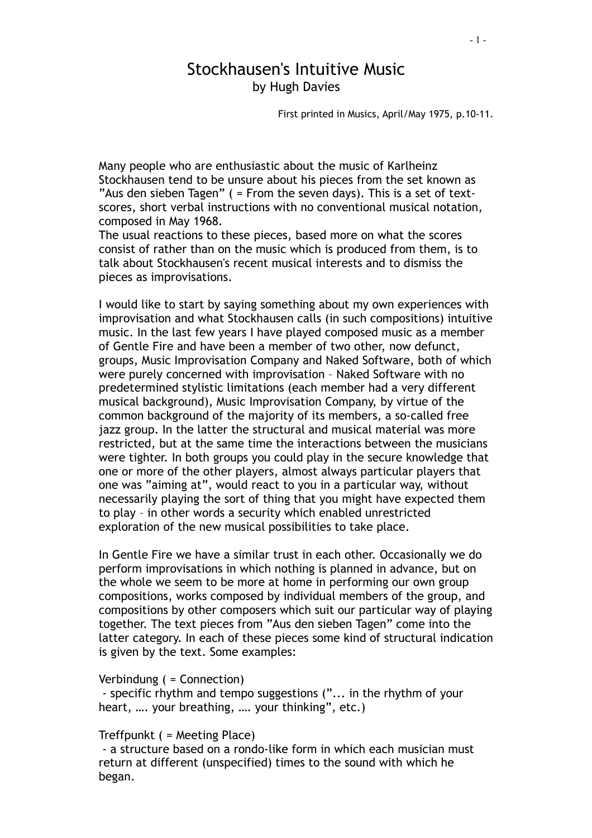## Stockhausen's Intuitive Music by Hugh Davies

First printed in Musics, April/May 1975, p.10-11.

Many people who are enthusiastic about the music of Karlheinz Stockhausen tend to be unsure about his pieces from the set known as "Aus den sieben Tagen" ( = From the seven days). This is a set of textscores, short verbal instructions with no conventional musical notation, composed in May 1968.

The usual reactions to these pieces, based more on what the scores consist of rather than on the music which is produced from them, is to talk about Stockhausen's recent musical interests and to dismiss the pieces as improvisations.

I would like to start by saying something about my own experiences with improvisation and what Stockhausen calls (in such compositions) intuitive music. In the last few years I have played composed music as a member of Gentle Fire and have been a member of two other, now defunct, groups, Music Improvisation Company and Naked Software, both of which were purely concerned with improvisation – Naked Software with no predetermined stylistic limitations (each member had a very different musical background), Music Improvisation Company, by virtue of the common background of the majority of its members, a so-called free jazz group. In the latter the structural and musical material was more restricted, but at the same time the interactions between the musicians were tighter. In both groups you could play in the secure knowledge that one or more of the other players, almost always particular players that one was "aiming at", would react to you in a particular way, without necessarily playing the sort of thing that you might have expected them to play – in other words a security which enabled unrestricted exploration of the new musical possibilities to take place.

In Gentle Fire we have a similar trust in each other. Occasionally we do perform improvisations in which nothing is planned in advance, but on the whole we seem to be more at home in performing our own group compositions, works composed by individual members of the group, and compositions by other composers which suit our particular way of playing together. The text pieces from "Aus den sieben Tagen" come into the latter category. In each of these pieces some kind of structural indication is given by the text. Some examples:

## Verbindung ( = Connection)

 - specific rhythm and tempo suggestions ("... in the rhythm of your heart, …. your breathing, …. your thinking", etc.)

## Treffpunkt ( = Meeting Place)

 - a structure based on a rondo-like form in which each musician must return at different (unspecified) times to the sound with which he began.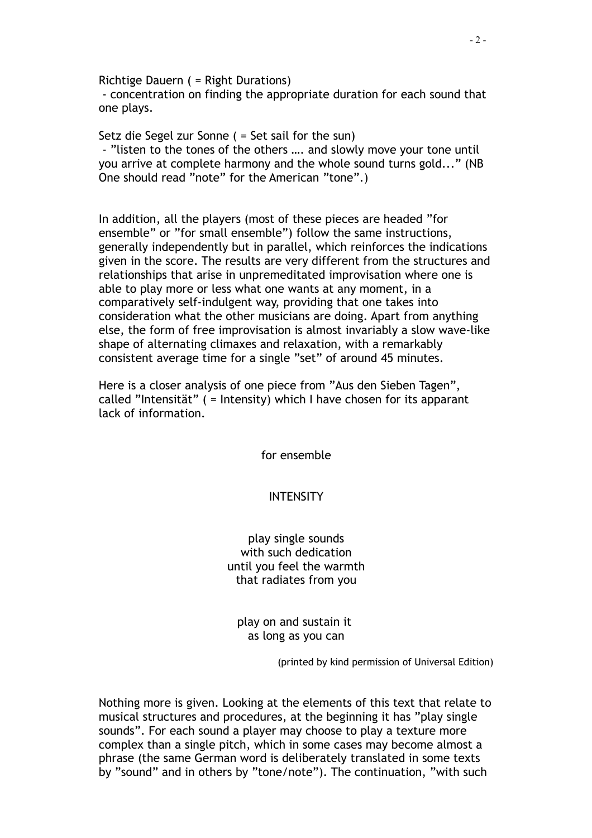Richtige Dauern ( = Right Durations)

 - concentration on finding the appropriate duration for each sound that one plays.

Setz die Segel zur Sonne ( = Set sail for the sun) - "listen to the tones of the others …. and slowly move your tone until you arrive at complete harmony and the whole sound turns gold..." (NB One should read "note" for the American "tone".)

In addition, all the players (most of these pieces are headed "for ensemble" or "for small ensemble") follow the same instructions, generally independently but in parallel, which reinforces the indications given in the score. The results are very different from the structures and relationships that arise in unpremeditated improvisation where one is able to play more or less what one wants at any moment, in a comparatively self-indulgent way, providing that one takes into consideration what the other musicians are doing. Apart from anything else, the form of free improvisation is almost invariably a slow wave-like shape of alternating climaxes and relaxation, with a remarkably consistent average time for a single "set" of around 45 minutes.

Here is a closer analysis of one piece from "Aus den Sieben Tagen", called "Intensität" ( = Intensity) which I have chosen for its apparant lack of information.

for ensemble

**INTENSITY** 

play single sounds with such dedication until you feel the warmth that radiates from you

play on and sustain it as long as you can

(printed by kind permission of Universal Edition)

Nothing more is given. Looking at the elements of this text that relate to musical structures and procedures, at the beginning it has "play single sounds". For each sound a player may choose to play a texture more complex than a single pitch, which in some cases may become almost a phrase (the same German word is deliberately translated in some texts by "sound" and in others by "tone/note"). The continuation, "with such